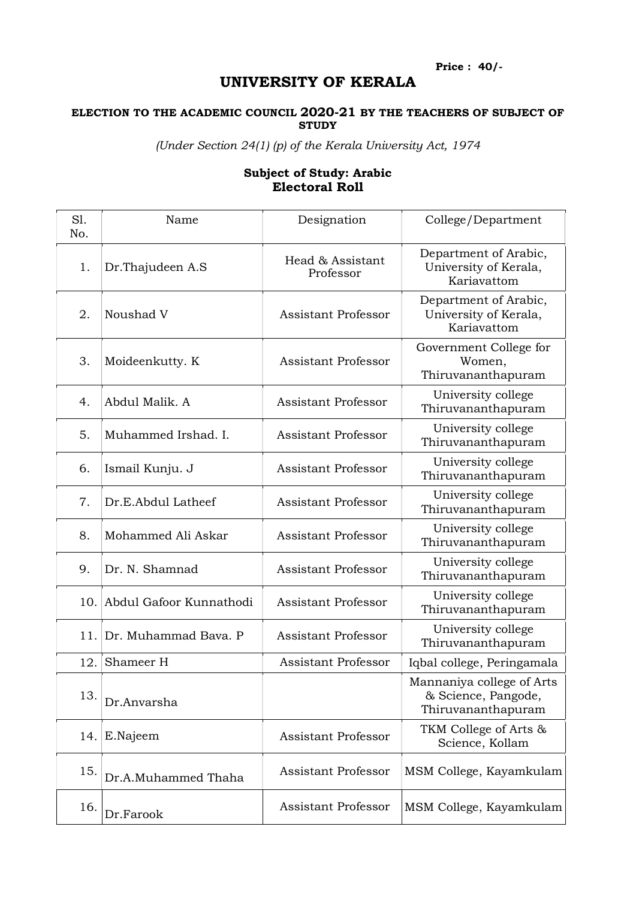Price : 40/-

## UNIVERSITY OF KERALA

## ELECTION TO THE ACADEMIC COUNCIL 2020-21 BY THE TEACHERS OF SUBJECT OF **STUDY**

(Under Section 24(1) (p) of the Kerala University Act, 1974

## Sl. No. Name Designation College/Department 1. Dr.Thajudeen A.S Head & Assistant Professor Department of Arabic, University of Kerala, Kariavattom 2. Noushad V Assistant Professor Department of Arabic, University of Kerala, Kariavattom 3. Moideenkutty. K Assistant Professor Government College for Women, Thiruvananthapuram 4. Abdul Malik. A Assistant Professor University college Thiruvananthapuram 5. Muhammed Irshad. I. Assistant Professor University college Thiruvananthapuram 6. Ismail Kunju. J Assistant Professor University college Thiruvananthapuram 7. Dr.E.Abdul Latheef Assistant Professor University college Thiruvananthapuram 8. Mohammed Ali Askar Assistant Professor University college Thiruvananthapuram 9. Dr. N. Shamnad Assistant Professor University college Thiruvananthapuram 10. Abdul Gafoor Kunnathodi Assistant Professor University college Thiruvananthapuram 11. Dr. Muhammad Bava. P Assistant Professor University college Thiruvananthapuram 12. Shameer H Assistant Professor | Iqbal college, Peringamala 13. Dr. Anvarsha Mannaniya college of Arts & Science, Pangode, Thiruvananthapuram 14. E.Najeem Assistant Professor TKM College of Arts & Science, Kollam 15. Dr.A.Muhammed Thaha Assistant Professor MSM College, Kayamkulam 16. Dr.Farook Assistant Professor MSM College, Kayamkulam

## Subject of Study: Arabic Electoral Roll